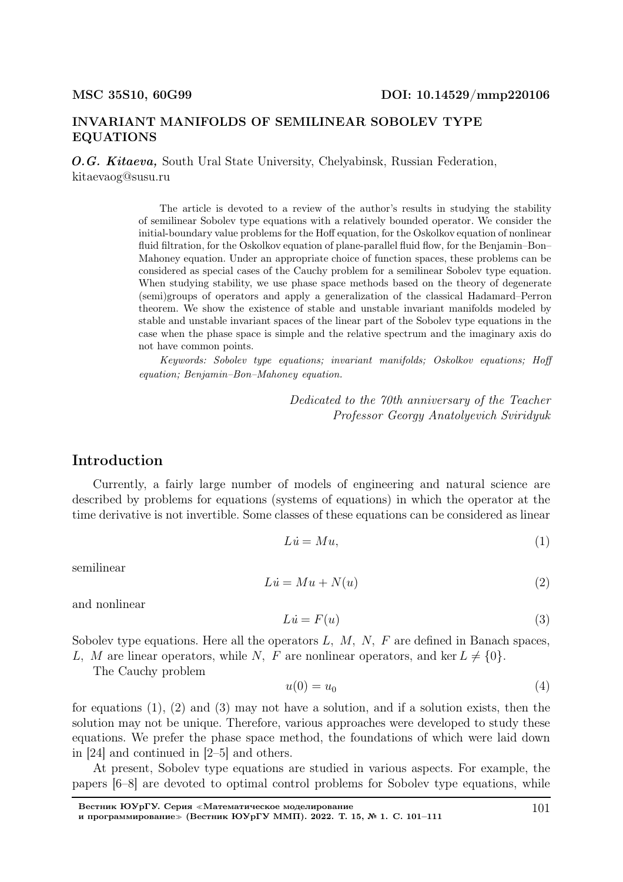#### INVARIANT MANIFOLDS OF SEMILINEAR SOBOLEV TYPE EQUATIONS

O.G. Kitaeva, South Ural State University, Chelyabinsk, Russian Federation, kitaevaog@susu.ru

> The article is devoted to a review of the author's results in studying the stability of semilinear Sobolev type equations with a relatively bounded operator. We consider the initial-boundary value problems for the Hoff equation, for the Oskolkov equation of nonlinear fluid filtration, for the Oskolkov equation of plane-parallel fluid flow, for the Benjamin–Bon– Mahoney equation. Under an appropriate choice of function spaces, these problems can be considered as special cases of the Cauchy problem for a semilinear Sobolev type equation. When studying stability, we use phase space methods based on the theory of degenerate (semi)groups of operators and apply a generalization of the classical Hadamard–Perron theorem. We show the existence of stable and unstable invariant manifolds modeled by stable and unstable invariant spaces of the linear part of the Sobolev type equations in the case when the phase space is simple and the relative spectrum and the imaginary axis do not have common points.

> Keywords: Sobolev type equations; invariant manifolds; Oskolkov equations; Hoff equation; Benjamin–Bon–Mahoney equation.

> > Dedicated to the 70th anniversary of the Teacher Professor Georgy Anatolyevich Sviridyuk

#### Introduction

Currently, a fairly large number of models of engineering and natural science are described by problems for equations (systems of equations) in which the operator at the time derivative is not invertible. Some classes of these equations can be considered as linear

$$
Li = Mu,\tag{1}
$$

semilinear

$$
Lu = Mu + N(u) \tag{2}
$$

and nonlinear

$$
Li = F(u) \tag{3}
$$

Sobolev type equations. Here all the operators  $L, M, N, F$  are defined in Banach spaces, L, M are linear operators, while N, F are nonlinear operators, and ker  $L \neq \{0\}$ .

The Cauchy problem

$$
u(0) = u_0 \tag{4}
$$

for equations (1), (2) and (3) may not have a solution, and if a solution exists, then the solution may not be unique. Therefore, various approaches were developed to study these equations. We prefer the phase space method, the foundations of which were laid down in [24] and continued in [2–5] and others.

At present, Sobolev type equations are studied in various aspects. For example, the papers [6–8] are devoted to optimal control problems for Sobolev type equations, while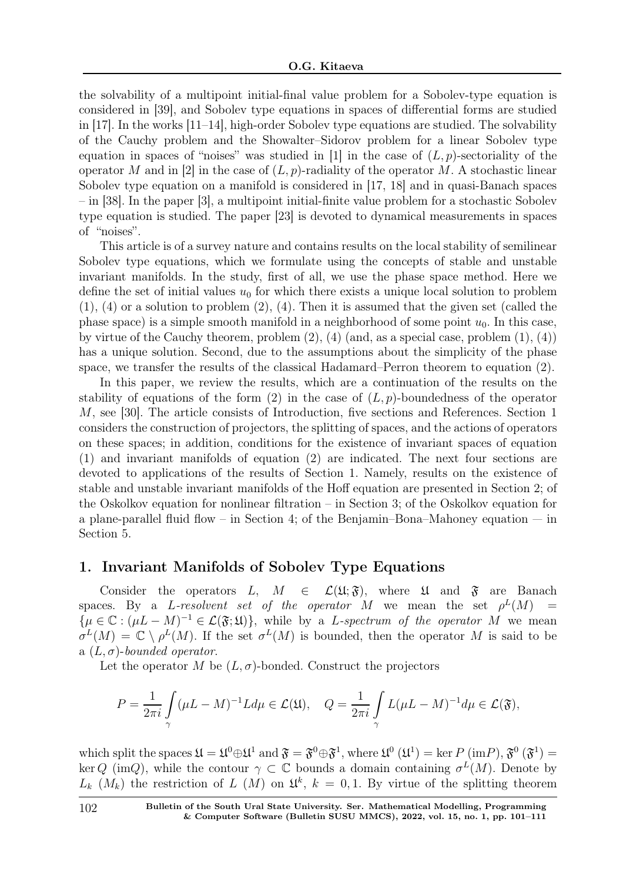the solvability of a multipoint initial-final value problem for a Sobolev-type equation is considered in [39], and Sobolev type equations in spaces of differential forms are studied in [17]. In the works [11–14], high-order Sobolev type equations are studied. The solvability of the Cauchy problem and the Showalter–Sidorov problem for a linear Sobolev type equation in spaces of "noises" was studied in [1] in the case of  $(L, p)$ -sectoriality of the operator M and in [2] in the case of  $(L, p)$ -radiality of the operator M. A stochastic linear Sobolev type equation on a manifold is considered in [17, 18] and in quasi-Banach spaces – in [38]. In the paper [3], a multipoint initial-finite value problem for a stochastic Sobolev type equation is studied. The paper [23] is devoted to dynamical measurements in spaces of "noises".

This article is of a survey nature and contains results on the local stability of semilinear Sobolev type equations, which we formulate using the concepts of stable and unstable invariant manifolds. In the study, first of all, we use the phase space method. Here we define the set of initial values  $u_0$  for which there exists a unique local solution to problem  $(1)$ ,  $(4)$  or a solution to problem  $(2)$ ,  $(4)$ . Then it is assumed that the given set (called the phase space) is a simple smooth manifold in a neighborhood of some point  $u_0$ . In this case, by virtue of the Cauchy theorem, problem (2), (4) (and, as a special case, problem (1), (4)) has a unique solution. Second, due to the assumptions about the simplicity of the phase space, we transfer the results of the classical Hadamard–Perron theorem to equation (2).

In this paper, we review the results, which are a continuation of the results on the stability of equations of the form (2) in the case of  $(L, p)$ -boundedness of the operator M, see [30]. The article consists of Introduction, five sections and References. Section 1 considers the construction of projectors, the splitting of spaces, and the actions of operators on these spaces; in addition, conditions for the existence of invariant spaces of equation (1) and invariant manifolds of equation (2) are indicated. The next four sections are devoted to applications of the results of Section 1. Namely, results on the existence of stable and unstable invariant manifolds of the Hoff equation are presented in Section 2; of the Oskolkov equation for nonlinear filtration – in Section 3; of the Oskolkov equation for a plane-parallel fluid flow – in Section 4; of the Benjamin–Bona–Mahoney equation — in Section 5.

## 1. Invariant Manifolds of Sobolev Type Equations

Consider the operators L,  $M \in \mathcal{L}(\mathfrak{U}; \mathfrak{F})$ , where  $\mathfrak{U}$  and  $\mathfrak{F}$  are Banach spaces. By a *L*-resolvent set of the operator M we mean the set  $\rho^L(M)$  =  $\{\mu \in \mathbb{C} : (\mu L - M)^{-1} \in \mathcal{L}(\mathfrak{F}; \mathfrak{U})\},\$  while by a L-spectrum of the operator M we mean  $\sigma^L(M) = \mathbb{C} \setminus \rho^L(M)$ . If the set  $\sigma^L(M)$  is bounded, then the operator M is said to be a  $(L, \sigma)$ -bounded operator.

Let the operator M be  $(L, \sigma)$ -bonded. Construct the projectors

$$
P = \frac{1}{2\pi i} \int_{\gamma} (\mu L - M)^{-1} L d\mu \in \mathcal{L}(\mathfrak{U}), \quad Q = \frac{1}{2\pi i} \int_{\gamma} L(\mu L - M)^{-1} d\mu \in \mathcal{L}(\mathfrak{F}),
$$

which split the spaces  $\mathfrak{U} = \mathfrak{U}^0 \oplus \mathfrak{U}^1$  and  $\mathfrak{F} = \mathfrak{F}^0 \oplus \mathfrak{F}^1$ , where  $\mathfrak{U}^0 (\mathfrak{U}^1) = \text{ker } P (\text{im} P), \mathfrak{F}^0 (\mathfrak{F}^1) =$ ker Q (imQ), while the contour  $\gamma \subset \mathbb{C}$  bounds a domain containing  $\sigma^L(M)$ . Denote by  $L_k$  ( $M_k$ ) the restriction of L (M) on  $\mathfrak{U}^k$ ,  $k = 0, 1$ . By virtue of the splitting theorem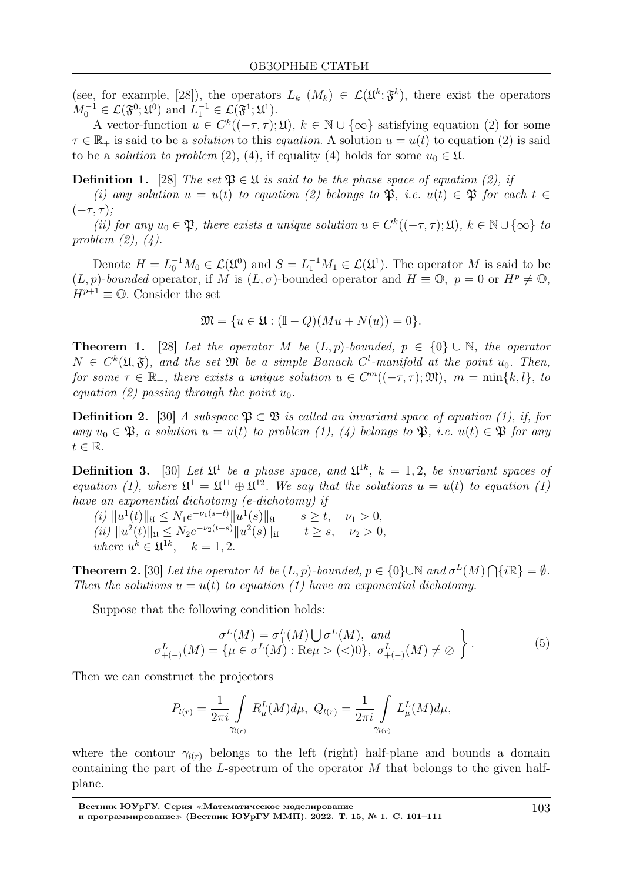(see, for example, [28]), the operators  $L_k$   $(M_k) \in \mathcal{L}(\mathfrak{U}^k; \mathfrak{F}^k)$ , there exist the operators  $M_0^{-1} \in \mathcal{L}(\mathfrak{F}^0;\mathfrak{U}^0)$  and  $L_1^{-1} \in \mathcal{L}(\mathfrak{F}^1;\mathfrak{U}^1)$ .

A vector-function  $u \in C^k((-\tau, \tau); \mathfrak{U})$ ,  $k \in \mathbb{N} \cup \{\infty\}$  satisfying equation (2) for some  $\tau \in \mathbb{R}_+$  is said to be a *solution* to this *equation*. A solution  $u = u(t)$  to equation (2) is said to be a *solution to problem* (2), (4), if equality (4) holds for some  $u_0 \in \mathfrak{U}$ .

**Definition 1.** [28] The set  $\mathfrak{P} \in \mathfrak{U}$  is said to be the phase space of equation (2), if

(i) any solution  $u = u(t)$  to equation (2) belongs to  $\mathfrak{P}$ , i.e.  $u(t) \in \mathfrak{P}$  for each  $t \in$  $(-\tau, \tau);$ 

(ii) for any  $u_0 \in \mathfrak{P}$ , there exists a unique solution  $u \in C^k((-\tau, \tau); \mathfrak{U})$ ,  $k \in \mathbb{N} \cup \{\infty\}$  to problem (2), (4).

Denote  $H = L_0^{-1}M_0 \in \mathcal{L}(\mathfrak{U}^0)$  and  $S = L_1^{-1}M_1 \in \mathcal{L}(\mathfrak{U}^1)$ . The operator M is said to be  $(L, p)$ -bounded operator, if M is  $(L, \sigma)$ -bounded operator and  $H \equiv \mathbb{O}$ ,  $p = 0$  or  $H^p \neq \mathbb{O}$ ,  $H^{p+1} \equiv \mathbb{O}$ . Consider the set

$$
\mathfrak{M} = \{ u \in \mathfrak{U} : (\mathbb{I} - Q)(Mu + N(u)) = 0 \}.
$$

**Theorem 1.** [28] Let the operator M be  $(L, p)$ -bounded,  $p \in \{0\} \cup \mathbb{N}$ , the operator  $N \in C^{k}(\mathfrak{U}, \mathfrak{F})$ , and the set  $\mathfrak{M}$  be a simple Banach  $C^{l}$ -manifold at the point  $u_{0}$ . Then, for some  $\tau \in \mathbb{R}_+$ , there exists a unique solution  $u \in C^m((-\tau, \tau); \mathfrak{M})$ ,  $m = \min\{k, l\}$ , to equation (2) passing through the point  $u_0$ .

**Definition 2.** [30] A subspace  $\mathfrak{P} \subset \mathfrak{B}$  is called an invariant space of equation (1), if, for any  $u_0 \in \mathfrak{P}$ , a solution  $u = u(t)$  to problem (1), (4) belongs to  $\mathfrak{P}$ , i.e.  $u(t) \in \mathfrak{P}$  for any  $t \in \mathbb{R}$ .

**Definition 3.** [30] Let  $\mathfrak{U}^1$  be a phase space, and  $\mathfrak{U}^{1k}$ ,  $k = 1, 2$ , be invariant spaces of equation (1), where  $\mathfrak{U}^1 = \mathfrak{U}^{11} \oplus \mathfrak{U}^{12}$ . We say that the solutions  $u = u(t)$  to equation (1) have an exponential dichotomy (e-dichotomy) if

 $(i) \|u^1(t)\|_{\mathfrak{U}} \leq N_1 e^{-\nu_1(s-t)} \|u^1(s)\|_{\mathfrak{U}} \qquad s \geq t, \quad \nu_1 > 0,$  $(iii)$   $||u^2(t)||_{\mathfrak{U}} \leq N_2 e^{-\nu_2(t-s)} ||u^2(s)||_{\mathfrak{U}} \qquad t \geq s, \quad \nu_2 > 0,$ where  $u^k \in \mathfrak{U}^{1k}$ ,  $k = 1, 2$ .

**Theorem 2.** [30] Let the operator M be  $(L, p)$ -bounded,  $p \in \{0\} \cup \mathbb{N}$  and  $\sigma^L(M) \cap \{i\mathbb{R}\} = \emptyset$ . Then the solutions  $u = u(t)$  to equation (1) have an exponential dichotomy.

Suppose that the following condition holds:

$$
\sigma^{L}(M) = \sigma^{L}_{+}(M) \bigcup \sigma^{L}_{-}(M), \quad \text{and}
$$
  
\n
$$
\sigma^{L}_{+(-)}(M) = \left\{ \mu \in \sigma^{L}(M) : \text{Re}\mu > (<)0 \right\}, \quad \sigma^{L}_{+(-)}(M) \neq \emptyset \quad (5)
$$

Then we can construct the projectors

$$
P_{l(r)} = \frac{1}{2\pi i} \int_{\gamma_{l(r)}} R^L_{\mu}(M) d\mu, \ Q_{l(r)} = \frac{1}{2\pi i} \int_{\gamma_{l(r)}} L^L_{\mu}(M) d\mu,
$$

where the contour  $\gamma_{l(r)}$  belongs to the left (right) half-plane and bounds a domain containing the part of the L-spectrum of the operator  $M$  that belongs to the given halfplane.

Вестник ЮУрГУ. Серия <sup>≪</sup>Математическое моделирование и программирование<sup>≫</sup> (Вестник ЮУрГУ ММП). 2022. Т. 15, № 1. С. 101–111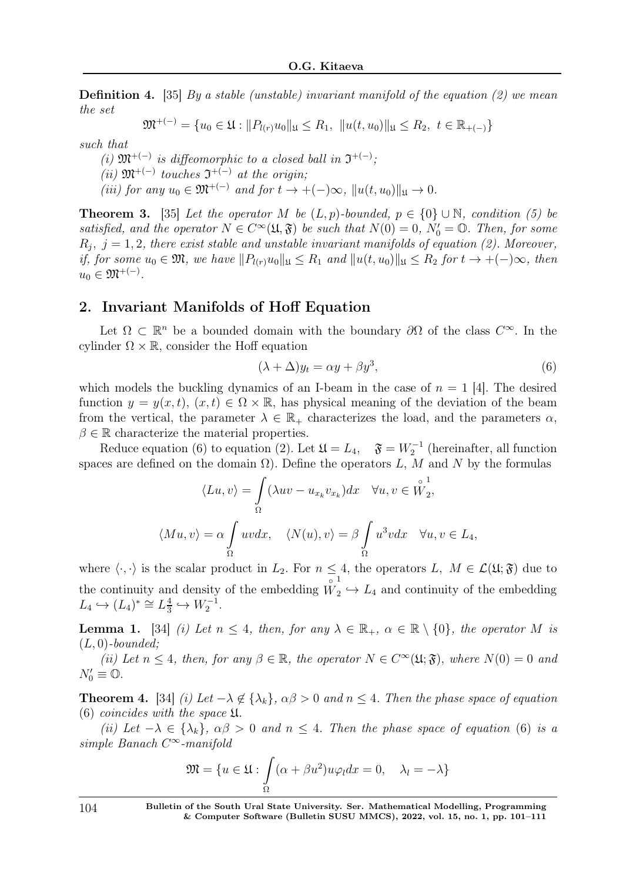**Definition 4.** [35] By a stable (unstable) invariant manifold of the equation (2) we mean the set

$$
\mathfrak{M}^{+(-)} = \{u_0 \in \mathfrak{U} : ||P_{l(r)}u_0||_{\mathfrak{U}} \leq R_1, ||u(t, u_0)||_{\mathfrak{U}} \leq R_2, t \in \mathbb{R}_{+(-)}\}
$$

such that

(i)  $\mathfrak{M}^{+(-)}$  is diffeomorphic to a closed ball in  $\mathfrak{I}^{+(-)}$ ;  $(ii)$   $\mathfrak{M}^{+(-)}$  touches  $\mathfrak{I}^{+(-)}$  at the origin; (iii) for any  $u_0 \in \mathfrak{M}^{+(-)}$  and for  $t \to +(-)\infty$ ,  $||u(t, u_0)||_{\mathfrak{U}} \to 0$ .

**Theorem 3.** [35] Let the operator M be  $(L, p)$ -bounded,  $p \in \{0\} \cup \mathbb{N}$ , condition (5) be satisfied, and the operator  $N \in C^{\infty}(\mathfrak{U}, \mathfrak{F})$  be such that  $N(0) = 0$ ,  $N'_0 = \mathbb{O}$ . Then, for some  $R_j, j = 1, 2$ , there exist stable and unstable invariant manifolds of equation (2). Moreover, if, for some  $u_0 \in \mathfrak{M}$ , we have  $||P_{l(r)}u_0||_{\mathfrak{U}} \leq R_1$  and  $||u(t, u_0)||_{\mathfrak{U}} \leq R_2$  for  $t \to +(-\infty,$  then  $u_0 \in \mathfrak{M}^{+(-)}$ .

### 2. Invariant Manifolds of Hoff Equation

Let  $\Omega \subset \mathbb{R}^n$  be a bounded domain with the boundary  $\partial\Omega$  of the class  $C^{\infty}$ . In the cylinder  $\Omega \times \mathbb{R}$ , consider the Hoff equation

$$
(\lambda + \Delta) y_t = \alpha y + \beta y^3,\tag{6}
$$

which models the buckling dynamics of an I-beam in the case of  $n = 1$  [4]. The desired function  $y = y(x, t)$ ,  $(x, t) \in \Omega \times \mathbb{R}$ , has physical meaning of the deviation of the beam from the vertical, the parameter  $\lambda \in \mathbb{R}_+$  characterizes the load, and the parameters  $\alpha$ ,  $\beta \in \mathbb{R}$  characterize the material properties.

Reduce equation (6) to equation (2). Let  $\mathfrak{U} = L_4$ ,  $\mathfrak{F} = W_2^{-1}$  (hereinafter, all function spaces are defined on the domain  $\Omega$ ). Define the operators L, M and N by the formulas

$$
\langle Lu, v \rangle = \int_{\Omega} (\lambda uv - u_{x_k} v_{x_k}) dx \quad \forall u, v \in \overset{\circ}{W}_2^1,
$$
  

$$
\langle Mu, v \rangle = \alpha \int_{\Omega} uv dx, \quad \langle N(u), v \rangle = \beta \int_{\Omega} u^3 v dx \quad \forall u, v \in L_4,
$$

where  $\langle \cdot, \cdot \rangle$  is the scalar product in  $L_2$ . For  $n \leq 4$ , the operators  $L, M \in \mathcal{L}(\mathfrak{U}; \mathfrak{F})$  due to the continuity and density of the embedding  $W_2 \hookrightarrow L_4$  and continuity of the embedding  $L_4 \hookrightarrow (L_4)^* \cong L_{\frac{3}{3}}^{\frac{4}{3}}$  $\frac{4}{3} \hookrightarrow W_2^{-1}.$ 

**Lemma 1.** [34] (i) Let  $n \leq 4$ , then, for any  $\lambda \in \mathbb{R}_+$ ,  $\alpha \in \mathbb{R} \setminus \{0\}$ , the operator M is  $(L, 0)$ -bounded;

(ii) Let  $n \leq 4$ , then, for any  $\beta \in \mathbb{R}$ , the operator  $N \in C^{\infty}(\mathfrak{U}; \mathfrak{F})$ , where  $N(0) = 0$  and  $N'_0\equiv\mathbb{O}.$ 

**Theorem 4.** [34] (i) Let  $-\lambda \notin {\lambda_k}$ ,  $\alpha\beta > 0$  and  $n \leq 4$ . Then the phase space of equation  $(6)$  coincides with the space  $\mathfrak{U}$ .

(ii) Let  $-\lambda \in {\lambda_k}$ ,  $\alpha\beta > 0$  and  $n \leq 4$ . Then the phase space of equation (6) is a simple Banach C <sup>∞</sup>-manifold

$$
\mathfrak{M} = \{ u \in \mathfrak{U} : \int_{\Omega} (\alpha + \beta u^2) u \varphi_l dx = 0, \quad \lambda_l = -\lambda \}
$$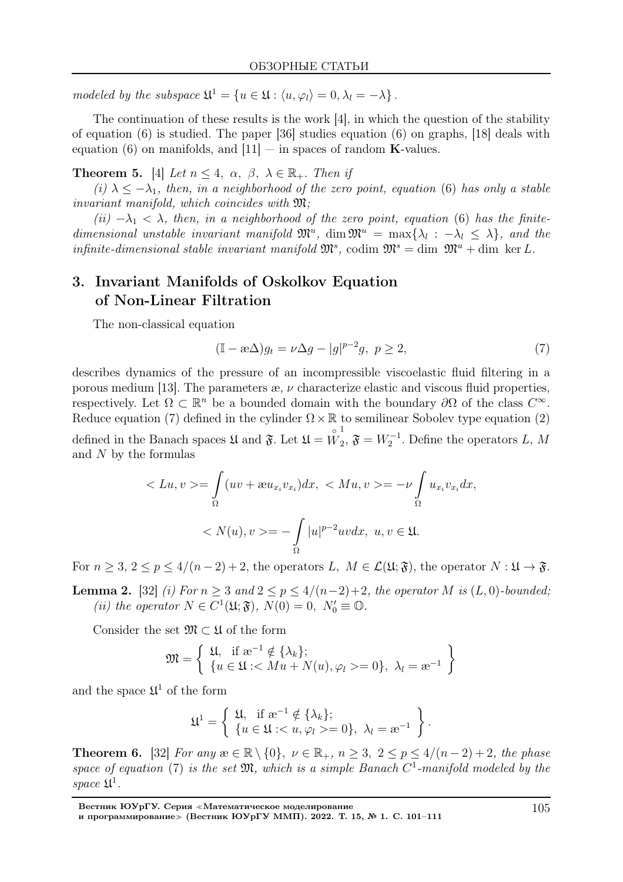modeled by the subspace  $\mathfrak{U}^1 = \{u \in \mathfrak{U} : \langle u, \varphi_l \rangle = 0, \lambda_l = -\lambda\}.$ 

The continuation of these results is the work [4], in which the question of the stability of equation (6) is studied. The paper [36] studies equation (6) on graphs, [18] deals with equation (6) on manifolds, and  $[11]$  — in spaces of random **K**-values.

**Theorem 5.** [4] Let  $n \leq 4$ ,  $\alpha$ ,  $\beta$ ,  $\lambda \in \mathbb{R}_+$ . Then if

(i)  $\lambda < -\lambda_1$ , then, in a neighborhood of the zero point, equation (6) has only a stable invariant manifold, which coincides with  $\mathfrak{M}$ ;

(ii)  $-\lambda_1 < \lambda$ , then, in a neighborhood of the zero point, equation (6) has the finitedimensional unstable invariant manifold  $\mathfrak{M}^u$ , dim  $\mathfrak{M}^u = \max\{\lambda_l : -\lambda_l \leq \lambda\}$ , and the infinite-dimensional stable invariant manifold  $\mathfrak{M}^s$ , codim  $\mathfrak{M}^s = \dim \mathfrak{M}^u + \dim \ker L$ .

# 3. Invariant Manifolds of Oskolkov Equation of Non-Linear Filtration

The non-classical equation

$$
(\mathbb{I} - \mathbf{a}\Delta)g_t = \nu \Delta g - |g|^{p-2}g, \ p \ge 2,\tag{7}
$$

describes dynamics of the pressure of an incompressible viscoelastic fluid filtering in a porous medium [13]. The parameters  $\infty$ ,  $\nu$  characterize elastic and viscous fluid properties, respectively. Let  $\Omega \subset \mathbb{R}^n$  be a bounded domain with the boundary  $\partial\Omega$  of the class  $C^{\infty}$ . Reduce equation (7) defined in the cylinder  $\Omega \times \mathbb{R}$  to semilinear Sobolev type equation (2) defined in the Banach spaces  $\mathfrak U$  and  $\mathfrak F$ . Let  $\mathfrak U$  = ◦ W 1  $\mathfrak{F}$ ,  $\mathfrak{F} = W_2^{-1}$ . Define the operators L, M and N by the formulas

$$
\langle Lu, v \rangle = \int_{\Omega} (uv + \mathfrak{w}u_{x_i}v_{x_i}) dx, \langle Mu, v \rangle = -\nu \int_{\Omega} u_{x_i}v_{x_i} dx,
$$

$$
\langle N(u), v \rangle = -\int_{\Omega} |u|^{p-2}uv dx, \ u, v \in \mathfrak{U}.
$$

For  $n > 3$ ,  $2 \le p \le 4/(n-2)+2$ , the operators L,  $M \in \mathcal{L}(\mathfrak{U}; \mathfrak{F})$ , the operator  $N : \mathfrak{U} \to \mathfrak{F}$ .

**Lemma 2.** [32] (i) For  $n \geq 3$  and  $2 \leq p \leq 4/(n-2)+2$ , the operator M is  $(L, 0)$ -bounded; (ii) the operator  $N \in C^1(\mathfrak{U}; \mathfrak{F}), N(0) = 0, N'_0 \equiv \mathbb{O}.$ 

Consider the set  $\mathfrak{M} \subset \mathfrak{U}$  of the form

$$
\mathfrak{M} = \left\{ \begin{array}{l} \mathfrak{U}, \text{ if } \mathfrak{B}^{-1} \notin \{\lambda_k\}; \\ \{u \in \mathfrak{U} : \langle Mu + N(u), \varphi_l \rangle = 0\}, \ \lambda_l = \mathfrak{B}^{-1} \end{array} \right\}
$$

and the space  $\mathfrak{U}^1$  of the form

$$
\mathfrak{U}^1 = \left\{ \begin{array}{l} \mathfrak{U}, \ \ \textrm{if} \ \mathrm{a}^{-1} \notin \{\lambda_k\}; \\ \{u \in \mathfrak{U} : < u, \varphi_l \geq 0\}, \ \lambda_l = \mathrm{a}^{-1} \end{array} \right\}.
$$

**Theorem 6.** [32] For any  $x \in \mathbb{R} \setminus \{0\}$ ,  $\nu \in \mathbb{R}_+$ ,  $n \geq 3$ ,  $2 \leq p \leq 4/(n-2)+2$ , the phase space of equation (7) is the set  $\mathfrak{M}$ , which is a simple Banach  $C^1$ -manifold modeled by the space  $\mathfrak{U}^1$ .

Вестник ЮУрГУ. Серия <sup>≪</sup>Математическое моделирование и программирование<sup>≫</sup> (Вестник ЮУрГУ ММП). 2022. Т. 15, № 1. С. 101–111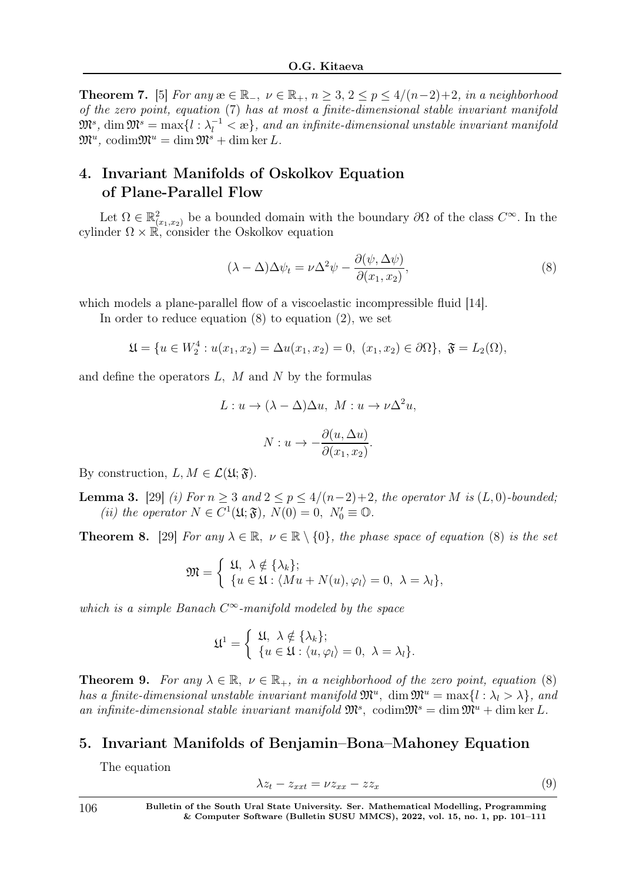**Theorem 7.** [5] For any  $x \in \mathbb{R}_+$ ,  $\nu \in \mathbb{R}_+$ ,  $n \geq 3$ ,  $2 \leq p \leq 4/(n-2)+2$ , in a neighborhood of the zero point, equation (7) has at most a finite-dimensional stable invariant manifold  $\mathfrak{M}^s\text{, } \dim\mathfrak{M}^s=\max\{l:\lambda_l^{-1}<\infty\}\text{, }$  and an infinite-dimensional unstable invariant manifold  $\mathfrak{M}^u$ , codim $\mathfrak{M}^u = \dim \mathfrak{M}^s + \dim \ker L$ .

# 4. Invariant Manifolds of Oskolkov Equation of Plane-Parallel Flow

Let  $\Omega \in \mathbb{R}^2_{(x_1,x_2)}$  be a bounded domain with the boundary  $\partial\Omega$  of the class  $C^{\infty}$ . In the cylinder  $\Omega \times \mathbb{R}$ , consider the Oskolkov equation

$$
(\lambda - \Delta)\Delta\psi_t = \nu \Delta^2 \psi - \frac{\partial(\psi, \Delta\psi)}{\partial(x_1, x_2)},
$$
\n(8)

which models a plane-parallel flow of a viscoelastic incompressible fluid [14].

In order to reduce equation  $(8)$  to equation  $(2)$ , we set

$$
\mathfrak{U} = \{ u \in W_2^4 : u(x_1, x_2) = \Delta u(x_1, x_2) = 0, \ (x_1, x_2) \in \partial \Omega \}, \ \mathfrak{F} = L_2(\Omega),
$$

and define the operators  $L, M$  and  $N$  by the formulas

$$
L: u \to (\lambda - \Delta) \Delta u, \ M: u \to \nu \Delta^2 u,
$$

$$
N: u \to -\frac{\partial(u, \Delta u)}{\partial(x_1, x_2)}.
$$

By construction,  $L, M \in \mathcal{L}(\mathfrak{U}; \mathfrak{F}).$ 

**Lemma 3.** [29] (i) For  $n \geq 3$  and  $2 \leq p \leq 4/(n-2)+2$ , the operator M is  $(L, 0)$ -bounded; (ii) the operator  $N \in C^1(\mathfrak{U}; \mathfrak{F}), N(0) = 0, N'_0 \equiv \mathbb{O}.$ 

**Theorem 8.** [29] For any  $\lambda \in \mathbb{R}$ ,  $\nu \in \mathbb{R} \setminus \{0\}$ , the phase space of equation (8) is the set

$$
\mathfrak{M} = \begin{cases} \mathfrak{U}, \ \lambda \notin \{\lambda_k\}; \\ \{u \in \mathfrak{U} : \langle Mu + N(u), \varphi_l \rangle = 0, \ \lambda = \lambda_l\}, \end{cases}
$$

which is a simple Banach  $C^{\infty}$ -manifold modeled by the space

$$
\mathfrak{U}^1 = \begin{cases} \mathfrak{U}, \ \lambda \notin \{\lambda_k\}; \\ \{u \in \mathfrak{U} : \langle u, \varphi_l \rangle = 0, \ \lambda = \lambda_l\}. \end{cases}
$$

**Theorem 9.** For any  $\lambda \in \mathbb{R}$ ,  $\nu \in \mathbb{R}_+$ , in a neighborhood of the zero point, equation (8) has a finite-dimensional unstable invariant manifold  $\mathfrak{M}^u$ , dim  $\mathfrak{M}^u = \max\{l : \lambda_l > \lambda\}$ , and an infinite-dimensional stable invariant manifold  $\mathfrak{M}^s$ , codim $\mathfrak{M}^s = \dim \mathfrak{M}^u + \dim \ker L$ .

#### 5. Invariant Manifolds of Benjamin–Bona–Mahoney Equation

The equation

$$
\lambda z_t - z_{xxt} = \nu z_{xx} - z z_x \tag{9}
$$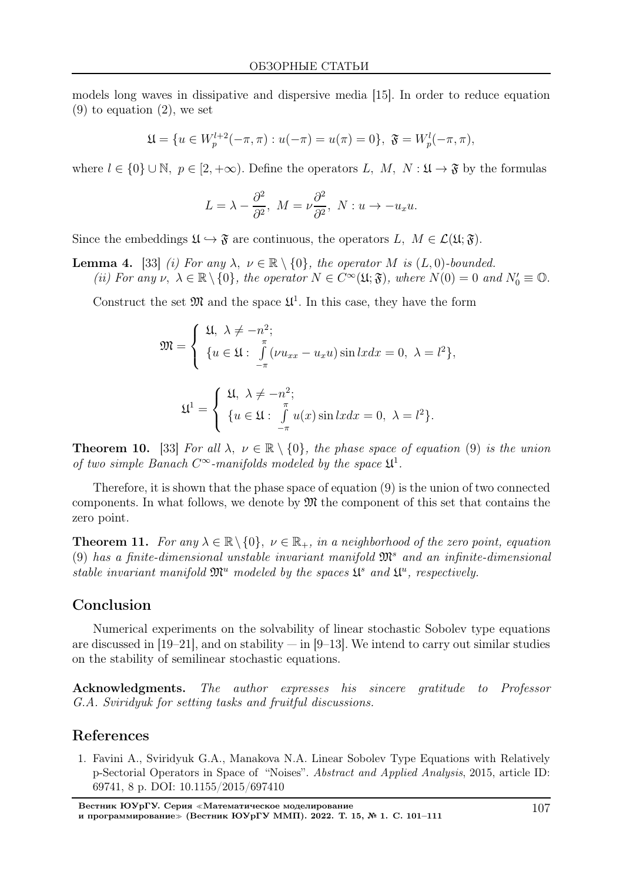models long waves in dissipative and dispersive media [15]. In order to reduce equation  $(9)$  to equation  $(2)$ , we set

$$
\mathfrak{U} = \{ u \in W_p^{l+2}(-\pi, \pi) : u(-\pi) = u(\pi) = 0 \}, \ \mathfrak{F} = W_p^l(-\pi, \pi),
$$

where  $l \in \{0\} \cup \mathbb{N}, p \in [2, +\infty)$ . Define the operators L, M, N:  $\mathfrak{U} \to \mathfrak{F}$  by the formulas

$$
L = \lambda - \frac{\partial^2}{\partial^2}, \ M = \nu \frac{\partial^2}{\partial^2}, \ N: u \to -u_x u.
$$

Since the embeddings  $\mathfrak{U} \hookrightarrow \mathfrak{F}$  are continuous, the operators  $L, M \in \mathcal{L}(\mathfrak{U}; \mathfrak{F}).$ 

**Lemma 4.** [33] (i) For any  $\lambda, \nu \in \mathbb{R} \setminus \{0\}$ , the operator M is  $(L, 0)$ -bounded. (ii) For any  $\nu, \ \lambda \in \mathbb{R} \setminus \{0\}$ , the operator  $N \in C^{\infty}(\mathfrak{U}; \mathfrak{F})$ , where  $N(0) = 0$  and  $N'_0 \equiv \mathbb{O}$ .

Construct the set  $\mathfrak{M}$  and the space  $\mathfrak{U}^1$ . In this case, they have the form

$$
\mathfrak{M} = \begin{cases} \mathfrak{U}, \ \lambda \neq -n^2; \\ \{u \in \mathfrak{U} : \int\limits_{-\pi}^{\pi} (\nu u_{xx} - u_x u) \sin lxdx = 0, \ \lambda = l^2\}, \\ \mathfrak{U}^1 = \begin{cases} \mathfrak{U}, \ \lambda \neq -n^2; \\ \{u \in \mathfrak{U} : \int\limits_{-\pi}^{\pi} u(x) \sin lxdx = 0, \ \lambda = l^2\}. \end{cases}
$$

**Theorem 10.** [33] For all  $\lambda, \nu \in \mathbb{R} \setminus \{0\}$ , the phase space of equation (9) is the union of two simple Banach  $C^{\infty}$ -manifolds modeled by the space  $\mathfrak{U}^1$ .

Therefore, it is shown that the phase space of equation (9) is the union of two connected components. In what follows, we denote by  $\mathfrak{M}$  the component of this set that contains the zero point.

**Theorem 11.** For any  $\lambda \in \mathbb{R} \setminus \{0\}$ ,  $\nu \in \mathbb{R}_+$ , in a neighborhood of the zero point, equation (9) has a finite-dimensional unstable invariant manifold  $\mathfrak{M}^s$  and an infinite-dimensional stable invariant manifold  $\mathfrak{M}^u$  modeled by the spaces  $\mathfrak{U}^s$  and  $\mathfrak{U}^u$ , respectively.

#### Conclusion

Numerical experiments on the solvability of linear stochastic Sobolev type equations are discussed in  $[19–21]$ , and on stability  $-$  in  $[9–13]$ . We intend to carry out similar studies on the stability of semilinear stochastic equations.

Acknowledgments. The author expresses his sincere gratitude to Professor G.A. Sviridyuk for setting tasks and fruitful discussions.

#### References

1. Favini A., Sviridyuk G.A., Manakova N.A. Linear Sobolev Type Equations with Relatively p-Sectorial Operators in Space of "Noises". Abstract and Applied Analysis, 2015, article ID: 69741, 8 p. DOI: 10.1155/2015/697410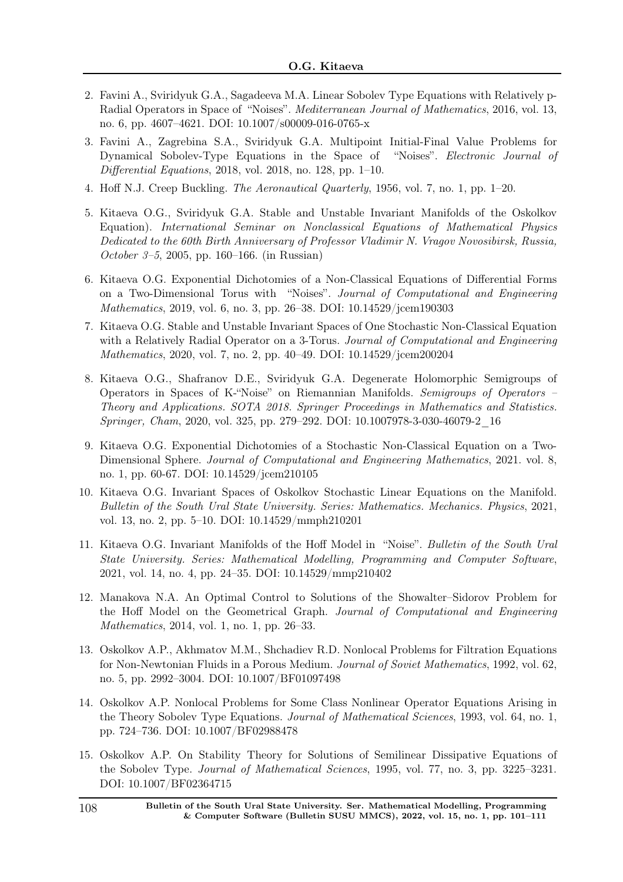- 2. Favini A., Sviridyuk G.A., Sagadeeva M.A. Linear Sobolev Type Equations with Relatively p-Radial Operators in Space of "Noises". Mediterranean Journal of Mathematics, 2016, vol. 13, no. 6, pp. 4607–4621. DOI: 10.1007/s00009-016-0765-x
- 3. Favini A., Zagrebina S.A., Sviridyuk G.A. Multipoint Initial-Final Value Problems for Dynamical Sobolev-Type Equations in the Space of "Noises". Electronic Journal of Differential Equations, 2018, vol. 2018, no. 128, pp. 1–10.
- 4. Hoff N.J. Creep Buckling. The Aeronautical Quarterly, 1956, vol. 7, no. 1, pp. 1–20.
- 5. Kitaeva O.G., Sviridyuk G.A. Stable and Unstable Invariant Manifolds of the Oskolkov Equation). International Seminar on Nonclassical Equations of Mathematical Physics Dedicated to the 60th Birth Anniversary of Professor Vladimir N. Vragov Novosibirsk, Russia, October 3–5, 2005, pp. 160–166. (in Russian)
- 6. Kitaeva O.G. Exponential Dichotomies of a Non-Classical Equations of Differential Forms on a Two-Dimensional Torus with "Noises". Journal of Computational and Engineering Mathematics, 2019, vol. 6, no. 3, pp. 26–38. DOI: 10.14529/jcem190303
- 7. Kitaeva O.G. Stable and Unstable Invariant Spaces of One Stochastic Non-Classical Equation with a Relatively Radial Operator on a 3-Torus. Journal of Computational and Engineering Mathematics, 2020, vol. 7, no. 2, pp. 40–49. DOI: 10.14529/jcem200204
- 8. Kitaeva O.G., Shafranov D.E., Sviridyuk G.A. Degenerate Holomorphic Semigroups of Operators in Spaces of K-"Noise" on Riemannian Manifolds. Semigroups of Operators – Theory and Applications. SOTA 2018. Springer Proceedings in Mathematics and Statistics. Springer, Cham, 2020, vol. 325, pp. 279–292. DOI: 10.1007978-3-030-46079-2\_16
- 9. Kitaeva O.G. Exponential Dichotomies of a Stochastic Non-Classical Equation on a Two-Dimensional Sphere. Journal of Computational and Engineering Mathematics, 2021. vol. 8, no. 1, pp. 60-67. DOI: 10.14529/jcem210105
- 10. Kitaeva O.G. Invariant Spaces of Oskolkov Stochastic Linear Equations on the Manifold. Bulletin of the South Ural State University. Series: Mathematics. Mechanics. Physics, 2021, vol. 13, no. 2, pp. 5–10. DOI: 10.14529/mmph210201
- 11. Kitaeva O.G. Invariant Manifolds of the Hoff Model in "Noise". Bulletin of the South Ural State University. Series: Mathematical Modelling, Programming and Computer Software, 2021, vol. 14, no. 4, pp. 24–35. DOI: 10.14529/mmp210402
- 12. Manakova N.A. An Optimal Control to Solutions of the Showalter–Sidorov Problem for the Hoff Model on the Geometrical Graph. Journal of Computational and Engineering Mathematics, 2014, vol. 1, no. 1, pp. 26–33.
- 13. Oskolkov A.P., Akhmatov M.M., Shchadiev R.D. Nonlocal Problems for Filtration Equations for Non-Newtonian Fluids in a Porous Medium. Journal of Soviet Mathematics, 1992, vol. 62, no. 5, pp. 2992–3004. DOI: 10.1007/BF01097498
- 14. Oskolkov A.P. Nonlocal Problems for Some Class Nonlinear Operator Equations Arising in the Theory Sobolev Type Equations. *Journal of Mathematical Sciences*, 1993, vol. 64, no. 1, pp. 724–736. DOI: 10.1007/BF02988478
- 15. Oskolkov A.P. On Stability Theory for Solutions of Semilinear Dissipative Equations of the Sobolev Type. Journal of Mathematical Sciences, 1995, vol. 77, no. 3, pp. 3225–3231. DOI: 10.1007/BF02364715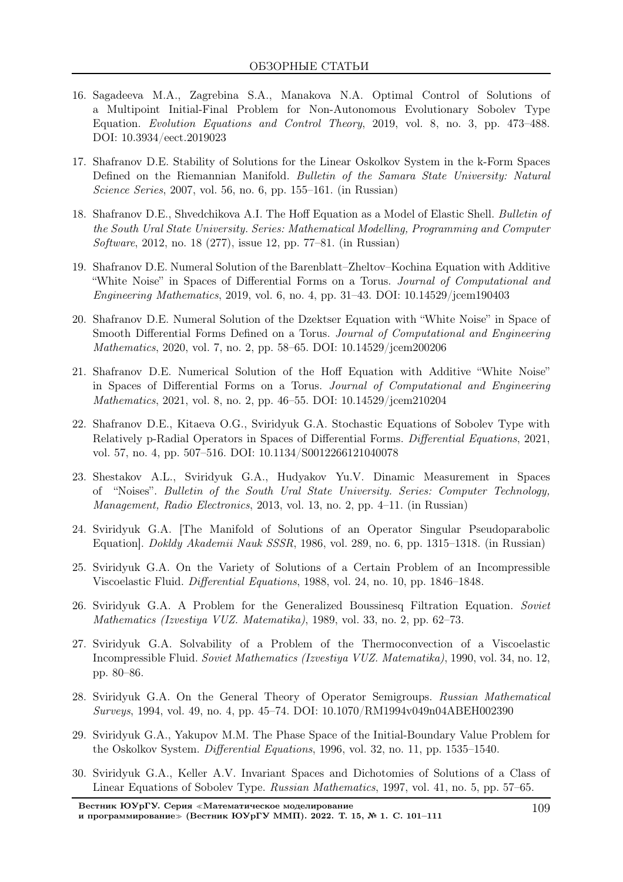- 16. Sagadeeva M.A., Zagrebina S.A., Manakova N.A. Optimal Control of Solutions of a Multipoint Initial-Final Problem for Non-Autonomous Evolutionary Sobolev Type Equation. Evolution Equations and Control Theory, 2019, vol. 8, no. 3, pp. 473–488. DOI: 10.3934/eect.2019023
- 17. Shafranov D.E. Stability of Solutions for the Linear Oskolkov System in the k-Form Spaces Defined on the Riemannian Manifold. Bulletin of the Samara State University: Natural Science Series, 2007, vol. 56, no. 6, pp. 155–161. (in Russian)
- 18. Shafranov D.E., Shvedchikova A.I. The Hoff Equation as a Model of Elastic Shell. Bulletin of the South Ural State University. Series: Mathematical Modelling, Programming and Computer Software, 2012, no. 18 (277), issue 12, pp. 77–81. (in Russian)
- 19. Shafranov D.E. Numeral Solution of the Barenblatt–Zheltov–Kochina Equation with Additive "White Noise" in Spaces of Differential Forms on a Torus. Journal of Computational and *Engineering Mathematics*, 2019, vol. 6, no. 4, pp. 31–43. DOI:  $10.14529/jcem190403$
- 20. Shafranov D.E. Numeral Solution of the Dzektser Equation with "White Noise" in Space of Smooth Differential Forms Defined on a Torus. Journal of Computational and Engineering Mathematics, 2020, vol. 7, no. 2, pp. 58–65. DOI: 10.14529/jcem200206
- 21. Shafranov D.E. Numerical Solution of the Hoff Equation with Additive "White Noise" in Spaces of Differential Forms on a Torus. Journal of Computational and Engineering Mathematics, 2021, vol. 8, no. 2, pp. 46–55. DOI: 10.14529/jcem210204
- 22. Shafranov D.E., Kitaeva O.G., Sviridyuk G.A. Stochastic Equations of Sobolev Type with Relatively p-Radial Operators in Spaces of Differential Forms. Differential Equations, 2021, vol. 57, no. 4, pp. 507–516. DOI: 10.1134/S0012266121040078
- 23. Shestakov A.L., Sviridyuk G.A., Hudyakov Yu.V. Dinamic Measurement in Spaces of "Noises". Bulletin of the South Ural State University. Series: Computer Technology, Management, Radio Electronics, 2013, vol. 13, no. 2, pp. 4–11. (in Russian)
- 24. Sviridyuk G.A. [The Manifold of Solutions of an Operator Singular Pseudoparabolic Equation]. Dokldy Akademii Nauk SSSR, 1986, vol. 289, no. 6, pp. 1315–1318. (in Russian)
- 25. Sviridyuk G.A. On the Variety of Solutions of a Certain Problem of an Incompressible Viscoelastic Fluid. Differential Equations, 1988, vol. 24, no. 10, pp. 1846–1848.
- 26. Sviridyuk G.A. A Problem for the Generalized Boussinesq Filtration Equation. Soviet Mathematics (Izvestiya VUZ. Matematika), 1989, vol. 33, no. 2, pp. 62–73.
- 27. Sviridyuk G.A. Solvability of a Problem of the Thermoconvection of a Viscoelastic Incompressible Fluid. Soviet Mathematics (Izvestiya VUZ. Matematika), 1990, vol. 34, no. 12, pp. 80–86.
- 28. Sviridyuk G.A. On the General Theory of Operator Semigroups. Russian Mathematical Surveys, 1994, vol. 49, no. 4, pp. 45–74. DOI: 10.1070/RM1994v049n04ABEH002390
- 29. Sviridyuk G.A., Yakupov M.M. The Phase Space of the Initial-Boundary Value Problem for the Oskolkov System. Differential Equations, 1996, vol. 32, no. 11, pp. 1535–1540.
- 30. Sviridyuk G.A., Keller A.V. Invariant Spaces and Dichotomies of Solutions of a Class of Linear Equations of Sobolev Type. Russian Mathematics, 1997, vol. 41, no. 5, pp. 57–65.

Вестник ЮУрГУ. Серия <sup>≪</sup>Математическое моделирование и программирование<sup>≫</sup> (Вестник ЮУрГУ ММП). 2022. Т. 15, № 1. С. 101–111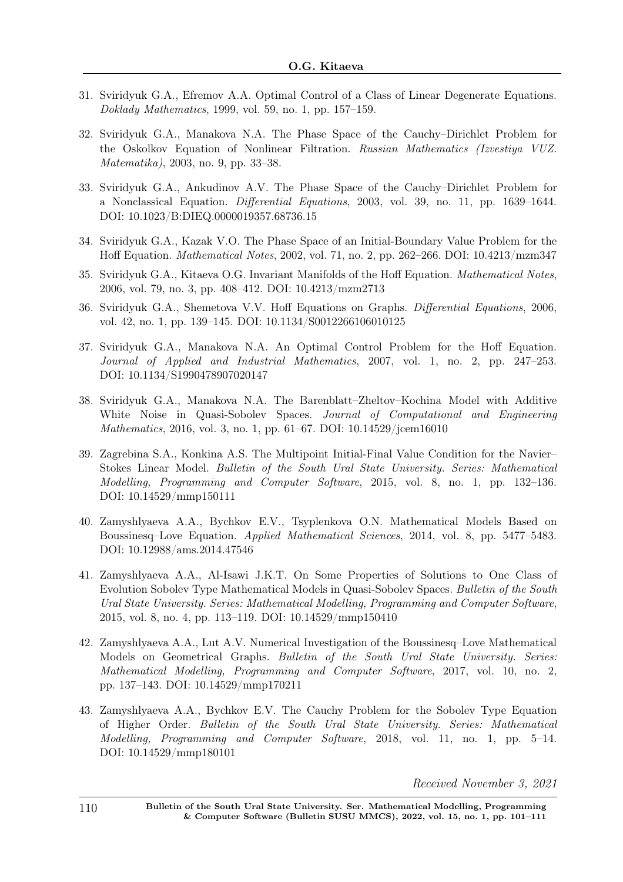- 31. Sviridyuk G.A., Efremov A.A. Optimal Control of a Class of Linear Degenerate Equations. Doklady Mathematics, 1999, vol. 59, no. 1, pp. 157–159.
- 32. Sviridyuk G.A., Manakova N.A. The Phase Space of the Cauchy–Dirichlet Problem for the Oskolkov Equation of Nonlinear Filtration. Russian Mathematics (Izvestiya VUZ. Matematika), 2003, no. 9, pp. 33–38.
- 33. Sviridyuk G.A., Ankudinov A.V. The Phase Space of the Cauchy–Dirichlet Problem for a Nonclassical Equation. Differential Equations, 2003, vol. 39, no. 11, pp. 1639–1644. DOI: 10.1023/B:DIEQ.0000019357.68736.15
- 34. Sviridyuk G.A., Kazak V.O. The Phase Space of an Initial-Boundary Value Problem for the Hoff Equation. Mathematical Notes, 2002, vol. 71, no. 2, pp. 262–266. DOI: 10.4213/mzm347
- 35. Sviridyuk G.A., Kitaeva O.G. Invariant Manifolds of the Hoff Equation. Mathematical Notes, 2006, vol. 79, no. 3, pp. 408–412. DOI: 10.4213/mzm2713
- 36. Sviridyuk G.A., Shemetova V.V. Hoff Equations on Graphs. Differential Equations, 2006, vol. 42, no. 1, pp. 139–145. DOI: 10.1134/S0012266106010125
- 37. Sviridyuk G.A., Manakova N.A. An Optimal Control Problem for the Hoff Equation. Journal of Applied and Industrial Mathematics, 2007, vol. 1, no. 2, pp. 247–253. DOI: 10.1134/S1990478907020147
- 38. Sviridyuk G.A., Manakova N.A. The Barenblatt–Zheltov–Kochina Model with Additive White Noise in Quasi-Sobolev Spaces. Journal of Computational and Engineering Mathematics, 2016, vol. 3, no. 1, pp. 61–67. DOI: 10.14529/jcem16010
- 39. Zagrebina S.A., Konkina A.S. The Multipoint Initial-Final Value Condition for the Navier– Stokes Linear Model. Bulletin of the South Ural State University. Series: Mathematical Modelling, Programming and Computer Software, 2015, vol. 8, no. 1, pp. 132–136. DOI: 10.14529/mmp150111
- 40. Zamyshlyaeva A.A., Bychkov E.V., Tsyplenkova O.N. Mathematical Models Based on Boussinesq–Love Equation. Applied Mathematical Sciences, 2014, vol. 8, pp. 5477–5483. DOI: 10.12988/ams.2014.47546
- 41. Zamyshlyaeva A.A., Al-Isawi J.K.T. On Some Properties of Solutions to One Class of Evolution Sobolev Type Mathematical Models in Quasi-Sobolev Spaces. Bulletin of the South Ural State University. Series: Mathematical Modelling, Programming and Computer Software, 2015, vol. 8, no. 4, pp. 113–119. DOI: 10.14529/mmp150410
- 42. Zamyshlyaeva A.A., Lut A.V. Numerical Investigation of the Boussinesq–Love Mathematical Models on Geometrical Graphs. Bulletin of the South Ural State University. Series: Mathematical Modelling, Programming and Computer Software, 2017, vol. 10, no. 2, pp. 137–143. DOI: 10.14529/mmp170211
- 43. Zamyshlyaeva A.A., Bychkov E.V. The Cauchy Problem for the Sobolev Type Equation of Higher Order. Bulletin of the South Ural State University. Series: Mathematical Modelling, Programming and Computer Software, 2018, vol. 11, no. 1, pp. 5–14. DOI: 10.14529/mmp180101

Received November 3, 2021